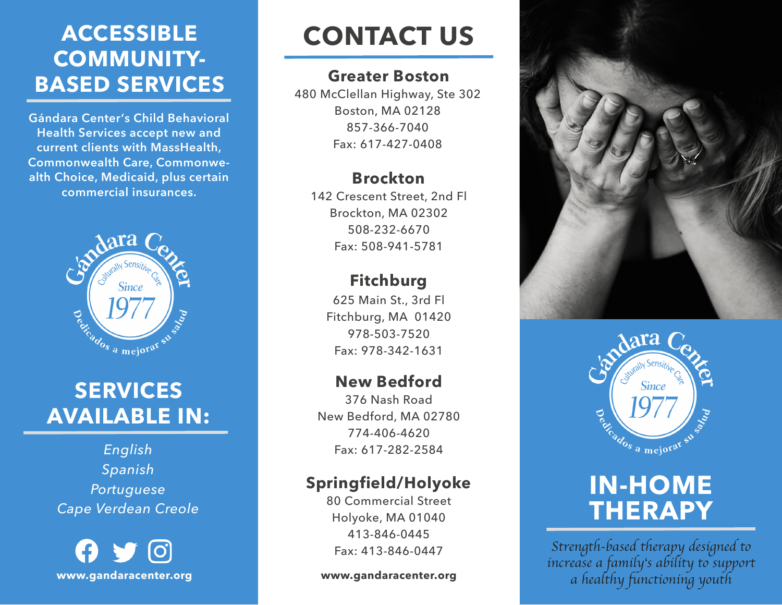### **ACCESSIBLE COMMUNITY-BASED SERVICES**

**Gándara Center's Child Behavioral Health Services accept new and current clients with MassHealth, Commonwealth Care, Commonwealth Choice, Medicaid, plus certain commercial insurances.** 



### **SERVICES AVAILABLE IN:**

*English Spanish Portuguese Cape Verdean Creole*

 $\boldsymbol{\Theta}$   $\boldsymbol{\mathcal{F}}$   $\boldsymbol{\Theta}$ **www.gandaracenter.org**

# **CONTACT US**

#### **Greater Boston**

480 McClellan Highway, Ste 302 Boston, MA 02128 857-366-7040 Fax: 617-427-0408

#### **Brockton**

142 Crescent Street, 2nd Fl Brockton, MA 02302 508-232-6670 Fax: 508-941-5781

### **Fitchburg**

625 Main St., 3rd Fl Fitchburg, MA 01420 978-503-7520 Fax: 978-342-1631

#### **New Bedford**

376 Nash Road New Bedford, MA 02780 774-406-4620 Fax: 617-282-2584

### **Springfield/Holyoke**

80 Commercial Street Holyoke, MA 01040 413-846-0445 Fax: 413-846-0447

**www.gandaracenter.org**





## **IN-HOME THERAPY**

*Strength-based therapy designed to increase a family's ability to support a healthy functioning youth*